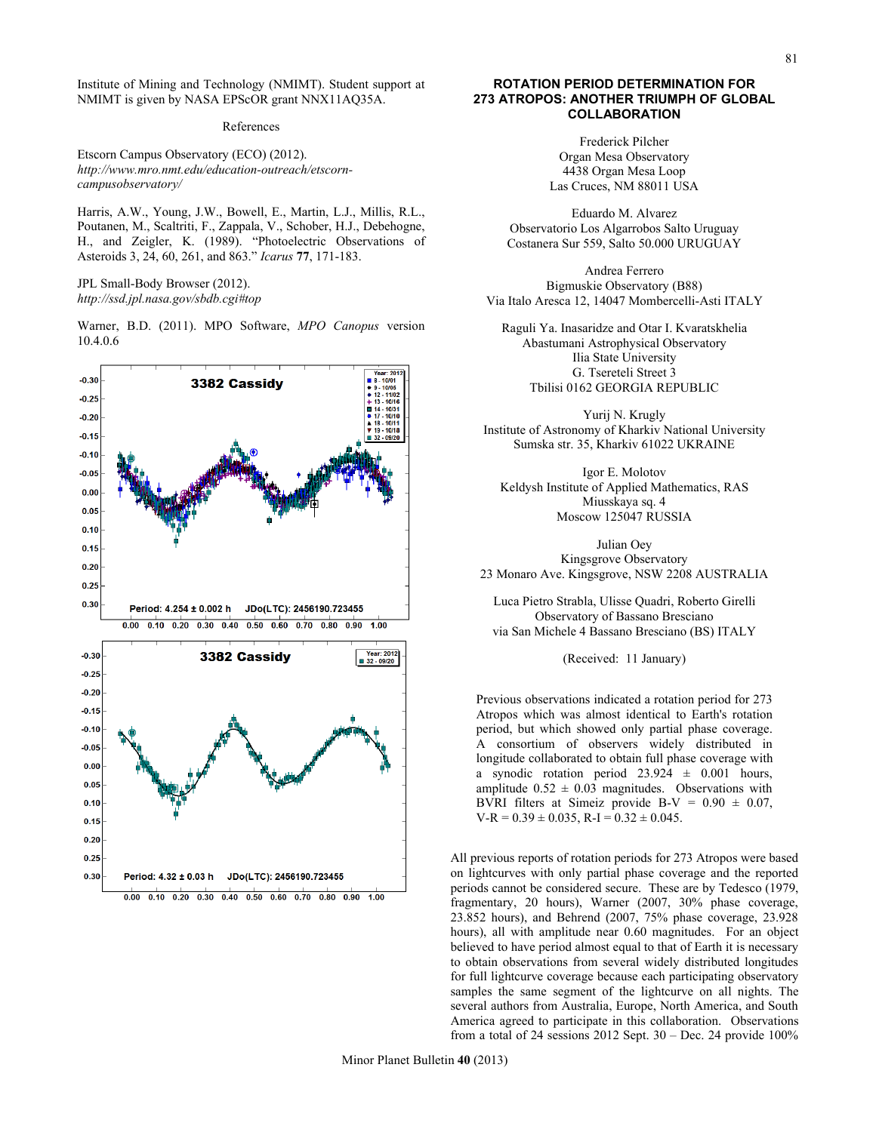Institute of Mining and Technology (NMIMT). Student support at NMIMT is given by NASA EPScOR grant NNX11AQ35A.

## References

Etscorn Campus Observatory (ECO) (2012). *http://www.mro.nmt.edu/education-outreach/etscorncampusobservatory/* 

Harris, A.W., Young, J.W., Bowell, E., Martin, L.J., Millis, R.L., Poutanen, M., Scaltriti, F., Zappala, V., Schober, H.J., Debehogne, H., and Zeigler, K. (1989). "Photoelectric Observations of Asteroids 3, 24, 60, 261, and 863." *Icarus* **77**, 171-183.

JPL Small-Body Browser (2012). *http://ssd.jpl.nasa.gov/sbdb.cgi#top*

Warner, B.D. (2011). MPO Software, *MPO Canopus* version 10.4.0.6



## **ROTATION PERIOD DETERMINATION FOR 273 ATROPOS: ANOTHER TRIUMPH OF GLOBAL COLLABORATION**

Frederick Pilcher Organ Mesa Observatory 4438 Organ Mesa Loop Las Cruces, NM 88011 USA

Eduardo M. Alvarez Observatorio Los Algarrobos Salto Uruguay Costanera Sur 559, Salto 50.000 URUGUAY

Andrea Ferrero Bigmuskie Observatory (B88) Via Italo Aresca 12, 14047 Mombercelli-Asti ITALY

Raguli Ya. Inasaridze and Otar I. Kvaratskhelia Abastumani Astrophysical Observatory Ilia State University G. Tsereteli Street 3 Tbilisi 0162 GEORGIA REPUBLIC

Yurij N. Krugly Institute of Astronomy of Kharkiv National University Sumska str. 35, Kharkiv 61022 UKRAINE

Igor E. Molotov Keldysh Institute of Applied Mathematics, RAS Miusskaya sq. 4 Moscow 125047 RUSSIA

Julian Oey Kingsgrove Observatory 23 Monaro Ave. Kingsgrove, NSW 2208 AUSTRALIA

Luca Pietro Strabla, Ulisse Quadri, Roberto Girelli Observatory of Bassano Bresciano via San Michele 4 Bassano Bresciano (BS) ITALY

(Received: 11 January)

Previous observations indicated a rotation period for 273 Atropos which was almost identical to Earth's rotation period, but which showed only partial phase coverage. A consortium of observers widely distributed in longitude collaborated to obtain full phase coverage with a synodic rotation period  $23.924 \pm 0.001$  hours, amplitude  $0.52 \pm 0.03$  magnitudes. Observations with BVRI filters at Simeiz provide B-V =  $0.90 \pm 0.07$ ,  $V-R = 0.39 \pm 0.035$ , R-I =  $0.32 \pm 0.045$ .

All previous reports of rotation periods for 273 Atropos were based on lightcurves with only partial phase coverage and the reported periods cannot be considered secure. These are by Tedesco (1979, fragmentary, 20 hours), Warner (2007, 30% phase coverage, 23.852 hours), and Behrend (2007, 75% phase coverage, 23.928 hours), all with amplitude near 0.60 magnitudes. For an object believed to have period almost equal to that of Earth it is necessary to obtain observations from several widely distributed longitudes for full lightcurve coverage because each participating observatory samples the same segment of the lightcurve on all nights. The several authors from Australia, Europe, North America, and South America agreed to participate in this collaboration. Observations from a total of 24 sessions 2012 Sept.  $30 - Dec.$  24 provide 100%

81